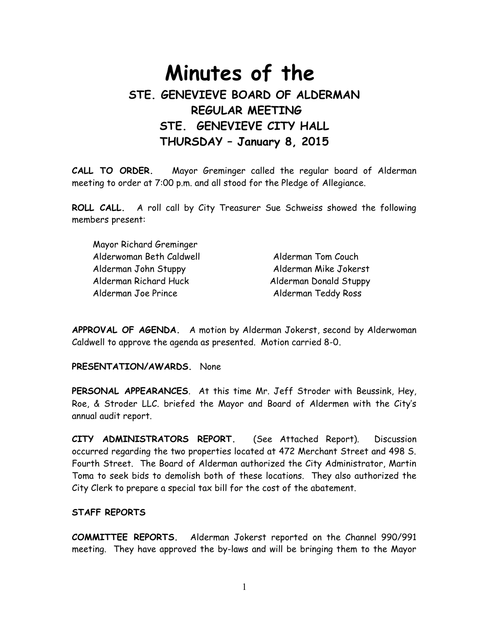# **Minutes of the STE. GENEVIEVE BOARD OF ALDERMAN REGULAR MEETING STE. GENEVIEVE CITY HALL THURSDAY – January 8, 2015**

**CALL TO ORDER.** Mayor Greminger called the regular board of Alderman meeting to order at 7:00 p.m. and all stood for the Pledge of Allegiance.

**ROLL CALL.** A roll call by City Treasurer Sue Schweiss showed the following members present:

| Mayor Richard Greminger  |                        |
|--------------------------|------------------------|
| Alderwoman Beth Caldwell | Alderman Tom Couch     |
| Alderman John Stuppy     | Alderman Mike Jokerst  |
| Alderman Richard Huck    | Alderman Donald Stuppy |
| Alderman Joe Prince      | Alderman Teddy Ross    |

**APPROVAL OF AGENDA.** A motion by Alderman Jokerst, second by Alderwoman Caldwell to approve the agenda as presented. Motion carried 8-0.

**PRESENTATION/AWARDS.** None

**PERSONAL APPEARANCES**. At this time Mr. Jeff Stroder with Beussink, Hey, Roe, & Stroder LLC. briefed the Mayor and Board of Aldermen with the City's annual audit report.

**CITY ADMINISTRATORS REPORT.** (See Attached Report). Discussion occurred regarding the two properties located at 472 Merchant Street and 498 S. Fourth Street. The Board of Alderman authorized the City Administrator, Martin Toma to seek bids to demolish both of these locations. They also authorized the City Clerk to prepare a special tax bill for the cost of the abatement.

## **STAFF REPORTS**

**COMMITTEE REPORTS.** Alderman Jokerst reported on the Channel 990/991 meeting. They have approved the by-laws and will be bringing them to the Mayor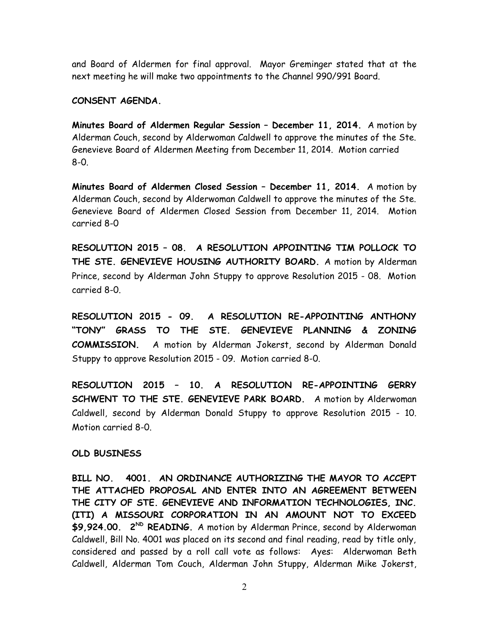and Board of Aldermen for final approval. Mayor Greminger stated that at the next meeting he will make two appointments to the Channel 990/991 Board.

#### **CONSENT AGENDA.**

**Minutes Board of Aldermen Regular Session – December 11, 2014.** A motion by Alderman Couch, second by Alderwoman Caldwell to approve the minutes of the Ste. Genevieve Board of Aldermen Meeting from December 11, 2014. Motion carried 8-0.

**Minutes Board of Aldermen Closed Session – December 11, 2014.** A motion by Alderman Couch, second by Alderwoman Caldwell to approve the minutes of the Ste. Genevieve Board of Aldermen Closed Session from December 11, 2014. Motion carried 8-0

**RESOLUTION 2015 – 08. A RESOLUTION APPOINTING TIM POLLOCK TO THE STE. GENEVIEVE HOUSING AUTHORITY BOARD.** A motion by Alderman Prince, second by Alderman John Stuppy to approve Resolution 2015 - 08. Motion carried 8-0.

**RESOLUTION 2015 - 09. A RESOLUTION RE-APPOINTING ANTHONY "TONY" GRASS TO THE STE. GENEVIEVE PLANNING & ZONING COMMISSION.** A motion by Alderman Jokerst, second by Alderman Donald Stuppy to approve Resolution 2015 - 09. Motion carried 8-0.

**RESOLUTION 2015 – 10. A RESOLUTION RE-APPOINTING GERRY SCHWENT TO THE STE. GENEVIEVE PARK BOARD.** A motion by Alderwoman Caldwell, second by Alderman Donald Stuppy to approve Resolution 2015 - 10. Motion carried 8-0.

#### **OLD BUSINESS**

**BILL NO. 4001. AN ORDINANCE AUTHORIZING THE MAYOR TO ACCEPT THE ATTACHED PROPOSAL AND ENTER INTO AN AGREEMENT BETWEEN THE CITY OF STE. GENEVIEVE AND INFORMATION TECHNOLOGIES, INC. (ITI) A MISSOURI CORPORATION IN AN AMOUNT NOT TO EXCEED \$9,924.00. 2ND READING.** A motion by Alderman Prince, second by Alderwoman Caldwell, Bill No. 4001 was placed on its second and final reading, read by title only, considered and passed by a roll call vote as follows: Ayes: Alderwoman Beth Caldwell, Alderman Tom Couch, Alderman John Stuppy, Alderman Mike Jokerst,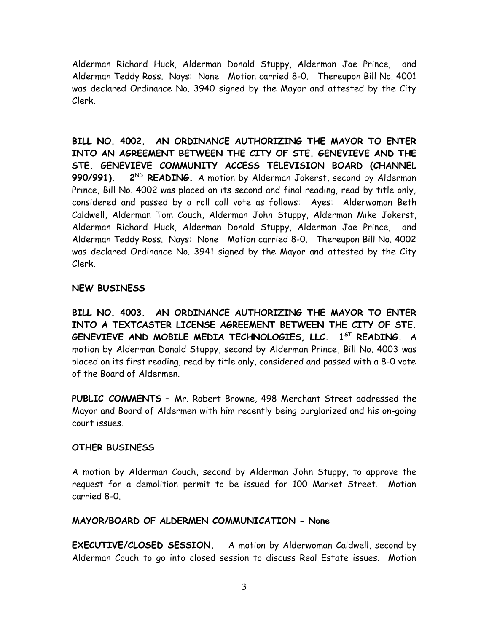Alderman Richard Huck, Alderman Donald Stuppy, Alderman Joe Prince, and Alderman Teddy Ross. Nays: None Motion carried 8-0. Thereupon Bill No. 4001 was declared Ordinance No. 3940 signed by the Mayor and attested by the City Clerk.

**BILL NO. 4002. AN ORDINANCE AUTHORIZING THE MAYOR TO ENTER INTO AN AGREEMENT BETWEEN THE CITY OF STE. GENEVIEVE AND THE STE. GENEVIEVE COMMUNITY ACCESS TELEVISION BOARD (CHANNEL 990/991). 2ND READING.** A motion by Alderman Jokerst, second by Alderman Prince, Bill No. 4002 was placed on its second and final reading, read by title only, considered and passed by a roll call vote as follows: Ayes: Alderwoman Beth Caldwell, Alderman Tom Couch, Alderman John Stuppy, Alderman Mike Jokerst, Alderman Richard Huck, Alderman Donald Stuppy, Alderman Joe Prince, and Alderman Teddy Ross. Nays: None Motion carried 8-0. Thereupon Bill No. 4002 was declared Ordinance No. 3941 signed by the Mayor and attested by the City Clerk.

## **NEW BUSINESS**

**BILL NO. 4003. AN ORDINANCE AUTHORIZING THE MAYOR TO ENTER INTO A TEXTCASTER LICENSE AGREEMENT BETWEEN THE CITY OF STE. GENEVIEVE AND MOBILE MEDIA TECHNOLOGIES, LLC. 1ST READING.** A motion by Alderman Donald Stuppy, second by Alderman Prince, Bill No. 4003 was placed on its first reading, read by title only, considered and passed with a 8-0 vote of the Board of Aldermen.

**PUBLIC COMMENTS –** Mr. Robert Browne, 498 Merchant Street addressed the Mayor and Board of Aldermen with him recently being burglarized and his on-going court issues.

## **OTHER BUSINESS**

A motion by Alderman Couch, second by Alderman John Stuppy, to approve the request for a demolition permit to be issued for 100 Market Street. Motion carried 8-0.

## **MAYOR/BOARD OF ALDERMEN COMMUNICATION - None**

**EXECUTIVE/CLOSED SESSION.** A motion by Alderwoman Caldwell, second by Alderman Couch to go into closed session to discuss Real Estate issues. Motion